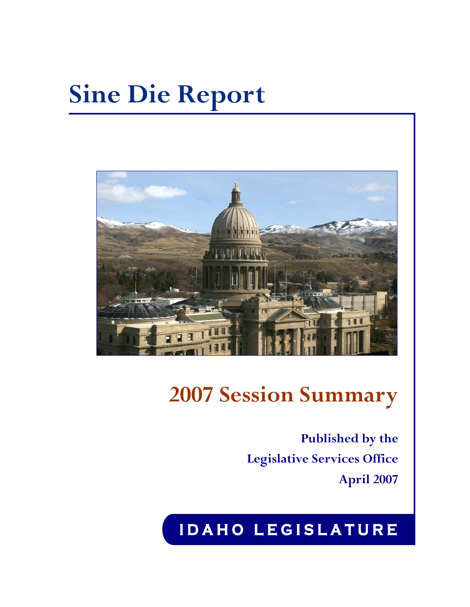# **Sine Die Report**



# **2007 Session Summary**

**Published by the Legislative Services Office April 2007**

# **I D A H O L E G I S L A T U R E**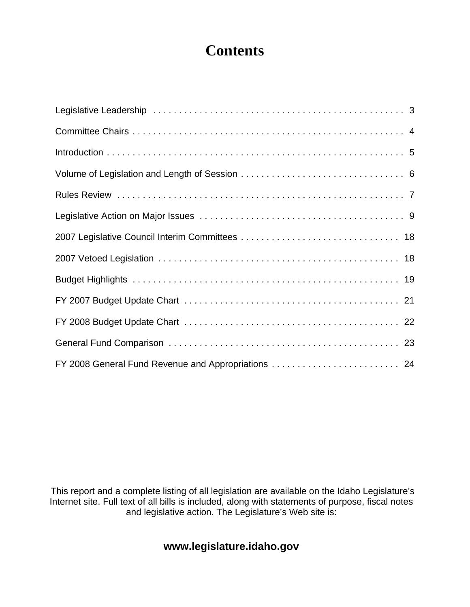# **Contents**

 This report and a complete listing of all legislation are available on the Idaho Legislature's Internet site. Full text of all bills is included, along with statements of purpose, fiscal notes and legislative action. The Legislature's Web site is:

### **www.legislature.idaho.gov**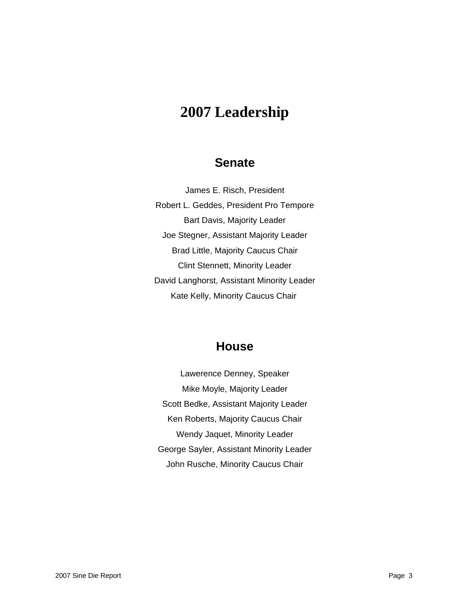### **2007 Leadership**

### **Senate**

James E. Risch, President Robert L. Geddes, President Pro Tempore Bart Davis, Majority Leader Joe Stegner, Assistant Majority Leader Brad Little, Majority Caucus Chair Clint Stennett, Minority Leader David Langhorst, Assistant Minority Leader Kate Kelly, Minority Caucus Chair

### **House**

Lawerence Denney, Speaker Mike Moyle, Majority Leader Scott Bedke, Assistant Majority Leader Ken Roberts, Majority Caucus Chair Wendy Jaquet, Minority Leader George Sayler, Assistant Minority Leader John Rusche, Minority Caucus Chair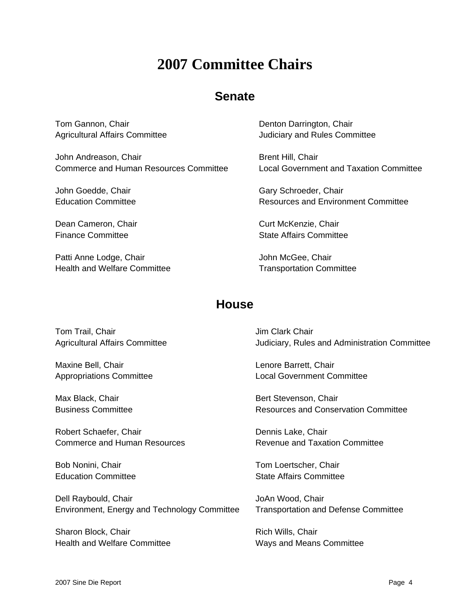# **2007 Committee Chairs**

### **Senate**

Tom Gannon, Chair Agricultural Affairs Committee

John Andreason, Chair Commerce and Human Resources Committee

John Goedde, Chair Education Committee

Dean Cameron, Chair Finance Committee

Patti Anne Lodge, Chair Health and Welfare Committee Denton Darrington, Chair Judiciary and Rules Committee

Brent Hill, Chair Local Government and Taxation Committee

Gary Schroeder, Chair Resources and Environment Committee

Curt McKenzie, Chair State Affairs Committee

John McGee, Chair Transportation Committee

### **House**

Tom Trail, Chair Agricultural Affairs Committee

Maxine Bell, Chair Appropriations Committee

Max Black, Chair Business Committee

Robert Schaefer, Chair Commerce and Human Resources

Bob Nonini, Chair Education Committee

Dell Raybould, Chair Environment, Energy and Technology Committee

Sharon Block, Chair Health and Welfare Committee Jim Clark Chair Judiciary, Rules and Administration Committee

Lenore Barrett, Chair Local Government Committee

Bert Stevenson, Chair Resources and Conservation Committee

Dennis Lake, Chair Revenue and Taxation Committee

Tom Loertscher, Chair State Affairs Committee

JoAn Wood, Chair Transportation and Defense Committee

Rich Wills, Chair Ways and Means Committee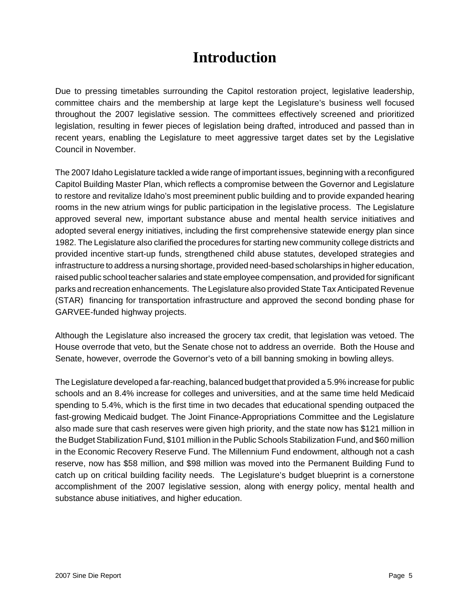# **Introduction**

Due to pressing timetables surrounding the Capitol restoration project, legislative leadership, committee chairs and the membership at large kept the Legislature's business well focused throughout the 2007 legislative session. The committees effectively screened and prioritized legislation, resulting in fewer pieces of legislation being drafted, introduced and passed than in recent years, enabling the Legislature to meet aggressive target dates set by the Legislative Council in November.

The 2007 Idaho Legislature tackled a wide range of important issues, beginning with a reconfigured Capitol Building Master Plan, which reflects a compromise between the Governor and Legislature to restore and revitalize Idaho's most preeminent public building and to provide expanded hearing rooms in the new atrium wings for public participation in the legislative process. The Legislature approved several new, important substance abuse and mental health service initiatives and adopted several energy initiatives, including the first comprehensive statewide energy plan since 1982. The Legislature also clarified the procedures for starting new community college districts and provided incentive start-up funds, strengthened child abuse statutes, developed strategies and infrastructure to address a nursing shortage, provided need-based scholarships in higher education, raised public school teacher salaries and state employee compensation, and provided for significant parks and recreation enhancements. The Legislature also provided State Tax Anticipated Revenue (STAR) financing for transportation infrastructure and approved the second bonding phase for GARVEE-funded highway projects.

Although the Legislature also increased the grocery tax credit, that legislation was vetoed. The House overrode that veto, but the Senate chose not to address an override. Both the House and Senate, however, overrode the Governor's veto of a bill banning smoking in bowling alleys.

The Legislature developed a far-reaching, balanced budget that provided a 5.9% increase for public schools and an 8.4% increase for colleges and universities, and at the same time held Medicaid spending to 5.4%, which is the first time in two decades that educational spending outpaced the fast-growing Medicaid budget. The Joint Finance-Appropriations Committee and the Legislature also made sure that cash reserves were given high priority, and the state now has \$121 million in the Budget Stabilization Fund, \$101 million in the Public Schools Stabilization Fund, and \$60 million in the Economic Recovery Reserve Fund. The Millennium Fund endowment, although not a cash reserve, now has \$58 million, and \$98 million was moved into the Permanent Building Fund to catch up on critical building facility needs. The Legislature's budget blueprint is a cornerstone accomplishment of the 2007 legislative session, along with energy policy, mental health and substance abuse initiatives, and higher education.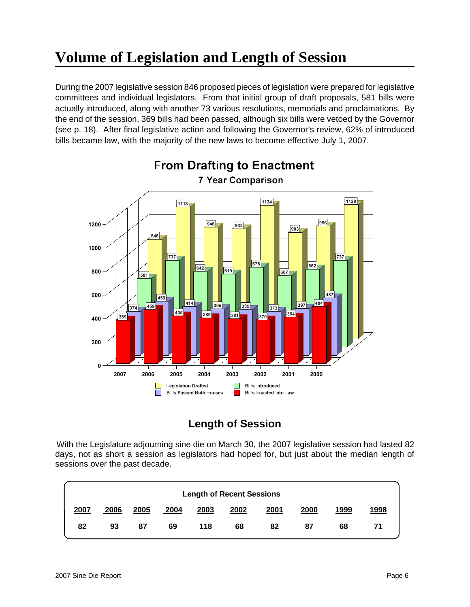# **Volume of Legislation and Length of Session**

During the 2007 legislative session 846 proposed pieces of legislation were prepared for legislative committees and individual legislators. From that initial group of draft proposals, 581 bills were actually introduced, along with another 73 various resolutions, memorials and proclamations. By the end of the session, 369 bills had been passed, although six bills were vetoed by the Governor (see p. 18). After final legislative action and following the Governor's review, 62% of introduced bills became law, with the majority of the new laws to become effective July 1, 2007.



### **Length of Session**

With the Legislature adjourning sine die on March 30, the 2007 legislative session had lasted 82 days, not as short a session as legislators had hoped for, but just about the median length of sessions over the past decade.

| <b>Length of Recent Sessions</b> |      |      |      |      |      |      |      |      |      |
|----------------------------------|------|------|------|------|------|------|------|------|------|
| 2007                             | 2006 | 2005 | 2004 | 2003 | 2002 | 2001 | 2000 | 1999 | 1998 |
| 82                               | 93   | 87   | 69   | 118  | 68   | 82   | 87   | 68   | 71   |
|                                  |      |      |      |      |      |      |      |      |      |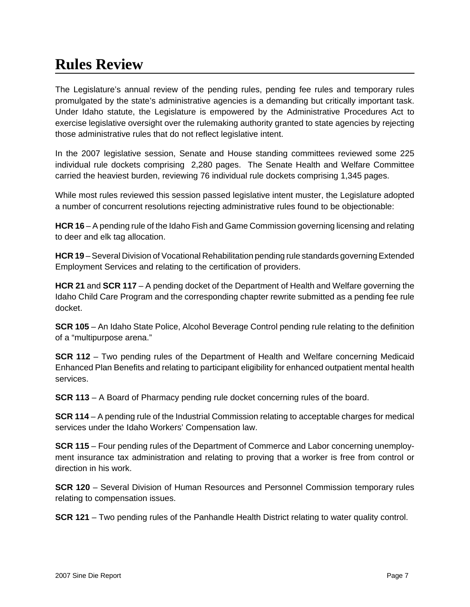# **Rules Review**

The Legislature's annual review of the pending rules, pending fee rules and temporary rules promulgated by the state's administrative agencies is a demanding but critically important task. Under Idaho statute, the Legislature is empowered by the Administrative Procedures Act to exercise legislative oversight over the rulemaking authority granted to state agencies by rejecting those administrative rules that do not reflect legislative intent.

In the 2007 legislative session, Senate and House standing committees reviewed some 225 individual rule dockets comprising 2,280 pages. The Senate Health and Welfare Committee carried the heaviest burden, reviewing 76 individual rule dockets comprising 1,345 pages.

While most rules reviewed this session passed legislative intent muster, the Legislature adopted a number of concurrent resolutions rejecting administrative rules found to be objectionable:

**HCR 16** – A pending rule of the Idaho Fish and Game Commission governing licensing and relating to deer and elk tag allocation.

**HCR 19** – Several Division of Vocational Rehabilitation pending rule standards governing Extended Employment Services and relating to the certification of providers.

**HCR 21** and **SCR 117** – A pending docket of the Department of Health and Welfare governing the Idaho Child Care Program and the corresponding chapter rewrite submitted as a pending fee rule docket.

**SCR 105** – An Idaho State Police, Alcohol Beverage Control pending rule relating to the definition of a "multipurpose arena."

**SCR 112** – Two pending rules of the Department of Health and Welfare concerning Medicaid Enhanced Plan Benefits and relating to participant eligibility for enhanced outpatient mental health services.

**SCR 113** – A Board of Pharmacy pending rule docket concerning rules of the board.

**SCR 114** – A pending rule of the Industrial Commission relating to acceptable charges for medical services under the Idaho Workers' Compensation law.

**SCR 115** – Four pending rules of the Department of Commerce and Labor concerning unemployment insurance tax administration and relating to proving that a worker is free from control or direction in his work.

**SCR 120** – Several Division of Human Resources and Personnel Commission temporary rules relating to compensation issues.

**SCR 121** – Two pending rules of the Panhandle Health District relating to water quality control.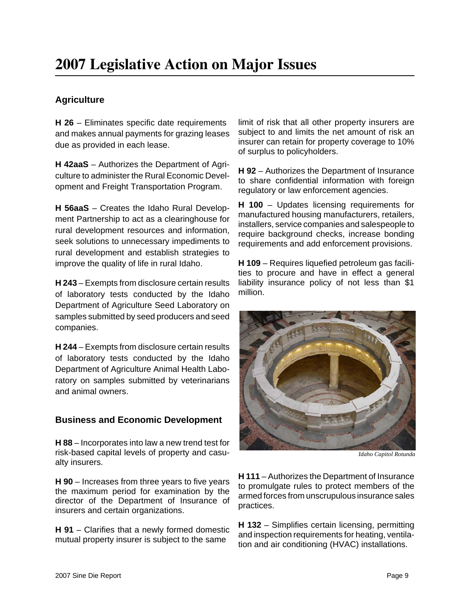### **Agriculture**

**H 26** – Eliminates specific date requirements and makes annual payments for grazing leases due as provided in each lease.

**H 42aaS** – Authorizes the Department of Agriculture to administer the Rural Economic Development and Freight Transportation Program.

**H 56aaS** – Creates the Idaho Rural Development Partnership to act as a clearinghouse for rural development resources and information, seek solutions to unnecessary impediments to rural development and establish strategies to improve the quality of life in rural Idaho.

**H 243** – Exempts from disclosure certain results of laboratory tests conducted by the Idaho Department of Agriculture Seed Laboratory on samples submitted by seed producers and seed companies.

**H 244** – Exempts from disclosure certain results of laboratory tests conducted by the Idaho Department of Agriculture Animal Health Laboratory on samples submitted by veterinarians and animal owners.

### **Business and Economic Development**

**H 88** – Incorporates into law a new trend test for risk-based capital levels of property and casualty insurers.

**H 90** – Increases from three years to five years the maximum period for examination by the director of the Department of Insurance of insurers and certain organizations.

**H 91** – Clarifies that a newly formed domestic mutual property insurer is subject to the same

limit of risk that all other property insurers are subject to and limits the net amount of risk an insurer can retain for property coverage to 10% of surplus to policyholders.

**H 92** – Authorizes the Department of Insurance to share confidential information with foreign regulatory or law enforcement agencies.

**H 100** – Updates licensing requirements for manufactured housing manufacturers, retailers, installers, service companies and salespeople to require background checks, increase bonding requirements and add enforcement provisions.

**H 109** – Requires liquefied petroleum gas facilities to procure and have in effect a general liability insurance policy of not less than \$1 million.



 *Idaho Capitol Rotunda*

**H 111** – Authorizes the Department of Insurance to promulgate rules to protect members of the armed forces from unscrupulous insurance sales practices.

**H 132** – Simplifies certain licensing, permitting and inspection requirements for heating, ventilation and air conditioning (HVAC) installations.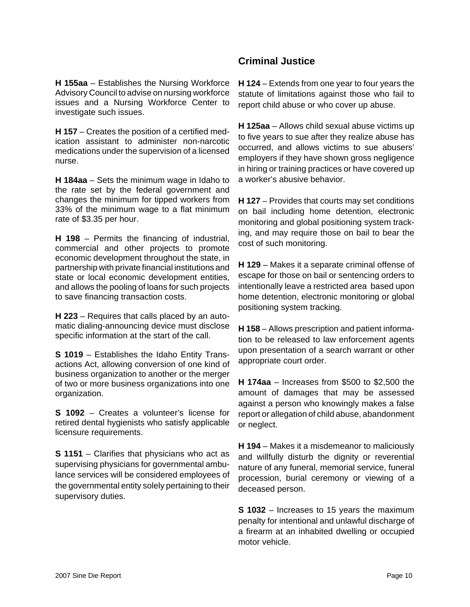#### **H 155aa** – Establishes the Nursing Workforce Advisory Council to advise on nursing workforce issues and a Nursing Workforce Center to investigate such issues.

**H 157** – Creates the position of a certified medication assistant to administer non-narcotic medications under the supervision of a licensed nurse.

**H 184aa** – Sets the minimum wage in Idaho to the rate set by the federal government and changes the minimum for tipped workers from 33% of the minimum wage to a flat minimum rate of \$3.35 per hour.

**H 198** – Permits the financing of industrial, commercial and other projects to promote economic development throughout the state, in partnership with private financial institutions and state or local economic development entities. and allows the pooling of loans for such projects to save financing transaction costs.

**H 223** – Requires that calls placed by an automatic dialing-announcing device must disclose specific information at the start of the call.

**S 1019** – Establishes the Idaho Entity Transactions Act, allowing conversion of one kind of business organization to another or the merger of two or more business organizations into one organization.

**S 1092** – Creates a volunteer's license for retired dental hygienists who satisfy applicable licensure requirements.

**S 1151** – Clarifies that physicians who act as supervising physicians for governmental ambulance services will be considered employees of the governmental entity solely pertaining to their supervisory duties.

### **Criminal Justice**

**H 124** – Extends from one year to four years the statute of limitations against those who fail to report child abuse or who cover up abuse.

**H 125aa** – Allows child sexual abuse victims up to five years to sue after they realize abuse has occurred, and allows victims to sue abusers' employers if they have shown gross negligence in hiring or training practices or have covered up a worker's abusive behavior.

**H 127** – Provides that courts may set conditions on bail including home detention, electronic monitoring and global positioning system tracking, and may require those on bail to bear the cost of such monitoring.

**H 129** – Makes it a separate criminal offense of escape for those on bail or sentencing orders to intentionally leave a restricted area based upon home detention, electronic monitoring or global positioning system tracking.

**H 158** – Allows prescription and patient information to be released to law enforcement agents upon presentation of a search warrant or other appropriate court order.

**H 174aa** – Increases from \$500 to \$2,500 the amount of damages that may be assessed against a person who knowingly makes a false report or allegation of child abuse, abandonment or neglect.

**H 194** – Makes it a misdemeanor to maliciously and willfully disturb the dignity or reverential nature of any funeral, memorial service, funeral procession, burial ceremony or viewing of a deceased person.

**S 1032** – Increases to 15 years the maximum penalty for intentional and unlawful discharge of a firearm at an inhabited dwelling or occupied motor vehicle.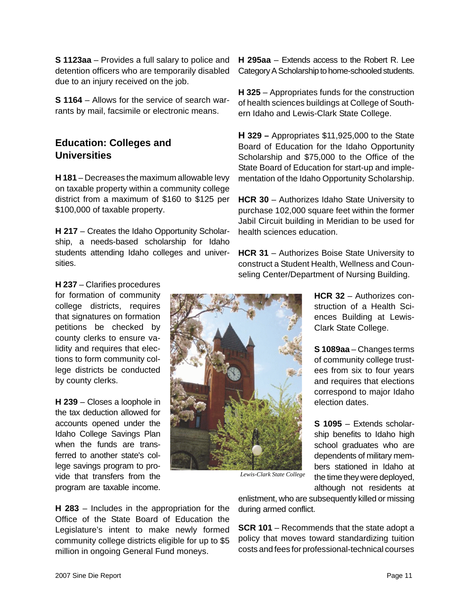**S 1123aa** – Provides a full salary to police and detention officers who are temporarily disabled due to an injury received on the job.

**S 1164** – Allows for the service of search warrants by mail, facsimile or electronic means.

### **Education: Colleges and Universities**

**H 181** – Decreases the maximum allowable levy on taxable property within a community college district from a maximum of \$160 to \$125 per \$100,000 of taxable property.

**H 217** – Creates the Idaho Opportunity Scholarship, a needs-based scholarship for Idaho students attending Idaho colleges and universities.

**H 237** – Clarifies procedures for formation of community college districts, requires that signatures on formation petitions be checked by county clerks to ensure validity and requires that elections to form community college districts be conducted by county clerks.

**H 239** – Closes a loophole in the tax deduction allowed for accounts opened under the Idaho College Savings Plan when the funds are transferred to another state's college savings program to provide that transfers from the program are taxable income.

**H 295aa** – Extends access to the Robert R. Lee Category A Scholarship to home-schooled students.

**H 325** – Appropriates funds for the construction of health sciences buildings at College of Southern Idaho and Lewis-Clark State College.

**H 329 –** Appropriates \$11,925,000 to the State Board of Education for the Idaho Opportunity Scholarship and \$75,000 to the Office of the State Board of Education for start-up and implementation of the Idaho Opportunity Scholarship.

**HCR 30** – Authorizes Idaho State University to purchase 102,000 square feet within the former Jabil Circuit building in Meridian to be used for health sciences education.

**HCR 31** – Authorizes Boise State University to construct a Student Health, Wellness and Counseling Center/Department of Nursing Building.



**HCR 32** – Authorizes construction of a Health Sciences Building at Lewis-Clark State College.

**S 1089aa** – Changes terms of community college trustees from six to four years and requires that elections correspond to major Idaho election dates.

**S 1095** – Extends scholarship benefits to Idaho high school graduates who are dependents of military members stationed in Idaho at the time they were deployed, although not residents at

*Lewis-Clark State College*

**H 283** – Includes in the appropriation for the Office of the State Board of Education the Legislature's intent to make newly formed community college districts eligible for up to \$5 million in ongoing General Fund moneys.

enlistment, who are subsequently killed or missing during armed conflict.

**SCR 101** – Recommends that the state adopt a policy that moves toward standardizing tuition costs and fees for professional-technical courses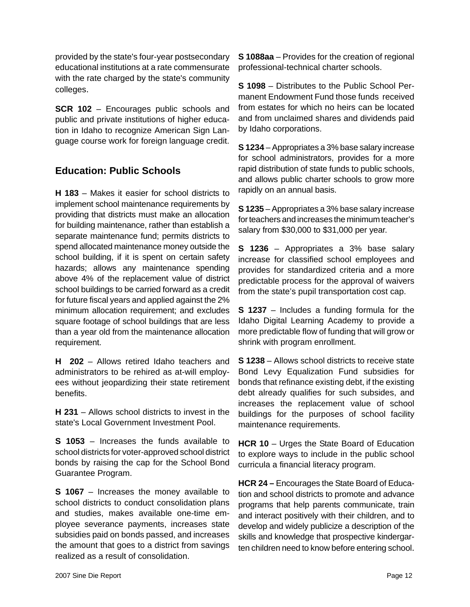provided by the state's four-year postsecondary educational institutions at a rate commensurate with the rate charged by the state's community colleges.

**SCR 102** – Encourages public schools and public and private institutions of higher education in Idaho to recognize American Sign Language course work for foreign language credit.

### **Education: Public Schools**

**H 183** – Makes it easier for school districts to implement school maintenance requirements by providing that districts must make an allocation for building maintenance, rather than establish a separate maintenance fund; permits districts to spend allocated maintenance money outside the school building, if it is spent on certain safety hazards; allows any maintenance spending above 4% of the replacement value of district school buildings to be carried forward as a credit for future fiscal years and applied against the 2% minimum allocation requirement; and excludes square footage of school buildings that are less than a year old from the maintenance allocation requirement.

**H 202** – Allows retired Idaho teachers and administrators to be rehired as at-will employees without jeopardizing their state retirement benefits.

**H 231** – Allows school districts to invest in the state's Local Government Investment Pool.

**S 1053** – Increases the funds available to school districts for voter-approved school district bonds by raising the cap for the School Bond Guarantee Program.

**S 1067** – Increases the money available to school districts to conduct consolidation plans and studies, makes available one-time employee severance payments, increases state subsidies paid on bonds passed, and increases the amount that goes to a district from savings realized as a result of consolidation.

**S 1088aa** – Provides for the creation of regional professional-technical charter schools.

**S 1098** – Distributes to the Public School Permanent Endowment Fund those funds received from estates for which no heirs can be located and from unclaimed shares and dividends paid by Idaho corporations.

**S 1234** – Appropriates a 3% base salary increase for school administrators, provides for a more rapid distribution of state funds to public schools, and allows public charter schools to grow more rapidly on an annual basis.

**S 1235** – Appropriates a 3% base salary increase for teachers and increases the minimum teacher's salary from \$30,000 to \$31,000 per year.

**S 1236** – Appropriates a 3% base salary increase for classified school employees and provides for standardized criteria and a more predictable process for the approval of waivers from the state's pupil transportation cost cap.

**S 1237** – Includes a funding formula for the Idaho Digital Learning Academy to provide a more predictable flow of funding that will grow or shrink with program enrollment.

**S 1238** – Allows school districts to receive state Bond Levy Equalization Fund subsidies for bonds that refinance existing debt, if the existing debt already qualifies for such subsides, and increases the replacement value of school buildings for the purposes of school facility maintenance requirements.

**HCR 10** – Urges the State Board of Education to explore ways to include in the public school curricula a financial literacy program.

**HCR 24 –** Encourages the State Board of Education and school districts to promote and advance programs that help parents communicate, train and interact positively with their children, and to develop and widely publicize a description of the skills and knowledge that prospective kindergarten children need to know before entering school.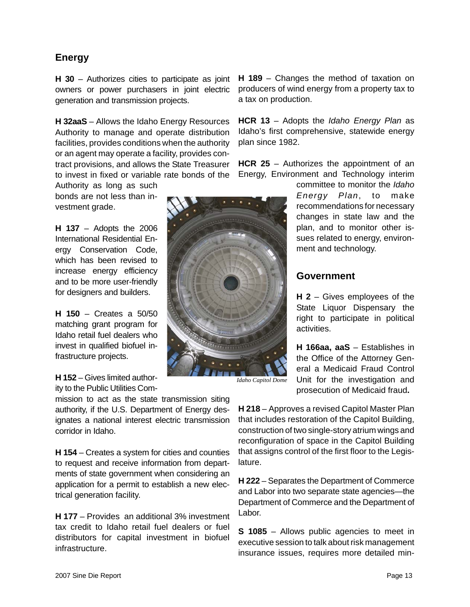### **Energy**

**H 30** – Authorizes cities to participate as joint owners or power purchasers in joint electric generation and transmission projects.

**H 32aaS** – Allows the Idaho Energy Resources Authority to manage and operate distribution facilities, provides conditions when the authority or an agent may operate a facility, provides contract provisions, and allows the State Treasurer to invest in fixed or variable rate bonds of the

Authority as long as such bonds are not less than investment grade.

**H 137** – Adopts the 2006 International Residential Energy Conservation Code, which has been revised to increase energy efficiency and to be more user-friendly for designers and builders.

**H 150** – Creates a 50/50 matching grant program for Idaho retail fuel dealers who invest in qualified biofuel infrastructure projects.

**H 152** – Gives limited authority to the Public Utilities Com-

mission to act as the state transmission siting authority, if the U.S. Department of Energy designates a national interest electric transmission corridor in Idaho.

**H 154** – Creates a system for cities and counties to request and receive information from departments of state government when considering an application for a permit to establish a new electrical generation facility.

**H 177** – Provides an additional 3% investment tax credit to Idaho retail fuel dealers or fuel distributors for capital investment in biofuel infrastructure.

**H 189** – Changes the method of taxation on producers of wind energy from a property tax to a tax on production.

**HCR 13** – Adopts the *Idaho Energy Plan* as Idaho's first comprehensive, statewide energy plan since 1982.

**HCR 25** – Authorizes the appointment of an Energy, Environment and Technology interim



*Idaho Capitol Dome*

committee to monitor the *Idaho Energy Plan*, to make recommendations for necessary changes in state law and the plan, and to monitor other issues related to energy, environment and technology.

### **Government**

**H 2** – Gives employees of the State Liquor Dispensary the right to participate in political activities.

**H 166aa, aaS** – Establishes in the Office of the Attorney General a Medicaid Fraud Control Unit for the investigation and prosecution of Medicaid fraud**.**

**H 218** – Approves a revised Capitol Master Plan that includes restoration of the Capitol Building, construction of two single-story atrium wings and reconfiguration of space in the Capitol Building that assigns control of the first floor to the Legislature.

**H 222** – Separates the Department of Commerce and Labor into two separate state agencies—the Department of Commerce and the Department of Labor.

**S 1085** – Allows public agencies to meet in executive session to talk about risk management insurance issues, requires more detailed min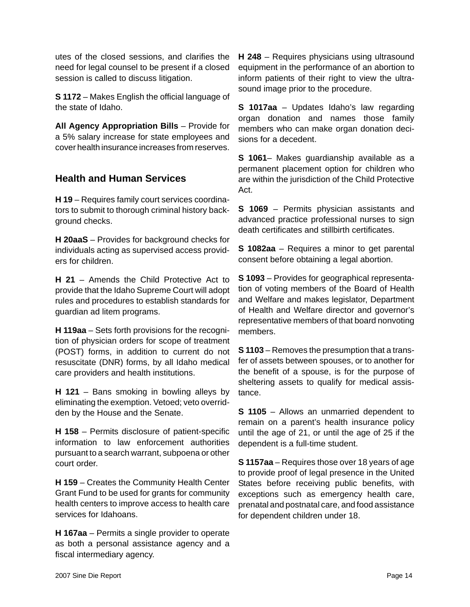utes of the closed sessions, and clarifies the need for legal counsel to be present if a closed session is called to discuss litigation.

**S 1172** – Makes English the official language of the state of Idaho.

**All Agency Appropriation Bills** – Provide for a 5% salary increase for state employees and cover health insurance increases from reserves.

### **Health and Human Services**

**H 19** – Requires family court services coordinators to submit to thorough criminal history background checks.

**H 20aaS** – Provides for background checks for individuals acting as supervised access providers for children.

**H 21** – Amends the Child Protective Act to provide that the Idaho Supreme Court will adopt rules and procedures to establish standards for guardian ad litem programs.

**H 119aa** – Sets forth provisions for the recognition of physician orders for scope of treatment (POST) forms, in addition to current do not resuscitate (DNR) forms, by all Idaho medical care providers and health institutions.

**H 121** – Bans smoking in bowling alleys by eliminating the exemption. Vetoed; veto overridden by the House and the Senate.

**H 158** – Permits disclosure of patient-specific information to law enforcement authorities pursuant to a search warrant, subpoena or other court order.

**H 159** – Creates the Community Health Center Grant Fund to be used for grants for community health centers to improve access to health care services for Idahoans.

**H 167aa** – Permits a single provider to operate as both a personal assistance agency and a fiscal intermediary agency.

**H 248** – Requires physicians using ultrasound equipment in the performance of an abortion to inform patients of their right to view the ultrasound image prior to the procedure.

**S 1017aa** – Updates Idaho's law regarding organ donation and names those family members who can make organ donation decisions for a decedent.

**S 1061**– Makes guardianship available as a permanent placement option for children who are within the jurisdiction of the Child Protective Act.

**S 1069** – Permits physician assistants and advanced practice professional nurses to sign death certificates and stillbirth certificates.

**S 1082aa** – Requires a minor to get parental consent before obtaining a legal abortion.

**S 1093** – Provides for geographical representation of voting members of the Board of Health and Welfare and makes legislator, Department of Health and Welfare director and governor's representative members of that board nonvoting members.

**S 1103** – Removes the presumption that a transfer of assets between spouses, or to another for the benefit of a spouse, is for the purpose of sheltering assets to qualify for medical assistance.

**S 1105** – Allows an unmarried dependent to remain on a parent's health insurance policy until the age of 21, or until the age of 25 if the dependent is a full-time student.

**S 1157aa** – Requires those over 18 years of age to provide proof of legal presence in the United States before receiving public benefits, with exceptions such as emergency health care, prenatal and postnatal care, and food assistance for dependent children under 18.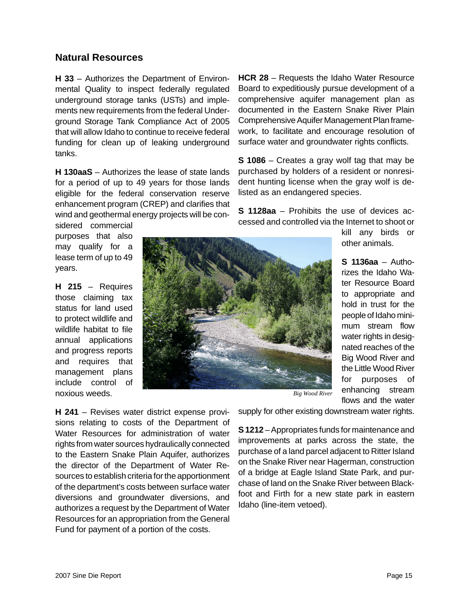#### **Natural Resources**

**H 33** – Authorizes the Department of Environmental Quality to inspect federally regulated underground storage tanks (USTs) and implements new requirements from the federal Underground Storage Tank Compliance Act of 2005 that will allow Idaho to continue to receive federal funding for clean up of leaking underground tanks.

**H 130aaS** – Authorizes the lease of state lands for a period of up to 49 years for those lands eligible for the federal conservation reserve enhancement program (CREP) and clarifies that wind and geothermal energy projects will be con-

sidered commercial purposes that also may qualify for a lease term of up to 49 years.

**H 215** – Requires those claiming tax status for land used to protect wildlife and wildlife habitat to file annual applications and progress reports and requires that management plans include control of noxious weeds.

**HCR 28** – Requests the Idaho Water Resource Board to expeditiously pursue development of a comprehensive aquifer management plan as documented in the Eastern Snake River Plain Comprehensive Aquifer Management Plan framework, to facilitate and encourage resolution of surface water and groundwater rights conflicts.

**S 1086** – Creates a gray wolf tag that may be purchased by holders of a resident or nonresident hunting license when the gray wolf is delisted as an endangered species.

**S 1128aa** – Prohibits the use of devices accessed and controlled via the Internet to shoot or



kill any birds or other animals.

**S 1136aa** – Authorizes the Idaho Water Resource Board to appropriate and hold in trust for the people of Idaho minimum stream flow water rights in designated reaches of the Big Wood River and the Little Wood River for purposes of enhancing stream flows and the water

*Big Wood River*

**H 241** – Revises water district expense provisions relating to costs of the Department of Water Resources for administration of water rights from water sources hydraulically connected to the Eastern Snake Plain Aquifer, authorizes the director of the Department of Water Resources to establish criteria for the apportionment of the department's costs between surface water diversions and groundwater diversions, and authorizes a request by the Department of Water Resources for an appropriation from the General Fund for payment of a portion of the costs.

supply for other existing downstream water rights.

**S 1212** – Appropriates funds for maintenance and improvements at parks across the state, the purchase of a land parcel adjacent to Ritter Island on the Snake River near Hagerman, construction of a bridge at Eagle Island State Park, and purchase of land on the Snake River between Blackfoot and Firth for a new state park in eastern Idaho (line-item vetoed).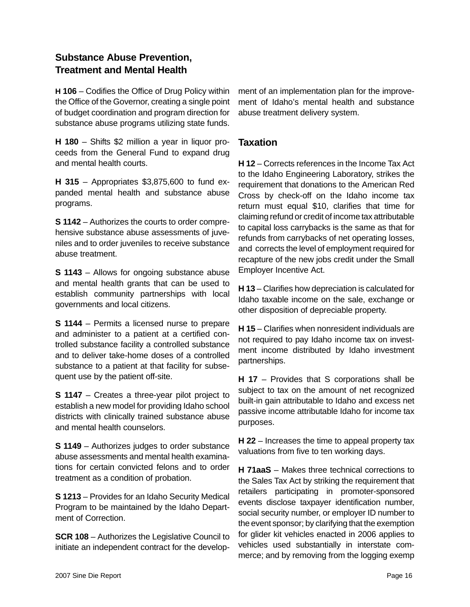### **Substance Abuse Prevention, Treatment and Mental Health**

**H 106** – Codifies the Office of Drug Policy within the Office of the Governor, creating a single point of budget coordination and program direction for substance abuse programs utilizing state funds.

**H 180** – Shifts \$2 million a year in liquor proceeds from the General Fund to expand drug and mental health courts.

**H 315** – Appropriates \$3,875,600 to fund expanded mental health and substance abuse programs.

**S 1142** – Authorizes the courts to order comprehensive substance abuse assessments of juveniles and to order juveniles to receive substance abuse treatment.

**S 1143** – Allows for ongoing substance abuse and mental health grants that can be used to establish community partnerships with local governments and local citizens.

**S 1144** – Permits a licensed nurse to prepare and administer to a patient at a certified controlled substance facility a controlled substance and to deliver take-home doses of a controlled substance to a patient at that facility for subsequent use by the patient off-site.

**S 1147** – Creates a three-year pilot project to establish a new model for providing Idaho school districts with clinically trained substance abuse and mental health counselors.

**S 1149** – Authorizes judges to order substance abuse assessments and mental health examinations for certain convicted felons and to order treatment as a condition of probation.

**S 1213** – Provides for an Idaho Security Medical Program to be maintained by the Idaho Department of Correction.

**SCR 108** – Authorizes the Legislative Council to initiate an independent contract for the development of an implementation plan for the improvement of Idaho's mental health and substance abuse treatment delivery system.

### **Taxation**

**H 12** – Corrects references in the Income Tax Act to the Idaho Engineering Laboratory, strikes the requirement that donations to the American Red Cross by check-off on the Idaho income tax return must equal \$10, clarifies that time for claiming refund or credit of income tax attributable to capital loss carrybacks is the same as that for refunds from carrybacks of net operating losses, and corrects the level of employment required for recapture of the new jobs credit under the Small Employer Incentive Act.

**H 13** – Clarifies how depreciation is calculated for Idaho taxable income on the sale, exchange or other disposition of depreciable property.

**H 15** – Clarifies when nonresident individuals are not required to pay Idaho income tax on investment income distributed by Idaho investment partnerships.

**H 17** – Provides that S corporations shall be subject to tax on the amount of net recognized built-in gain attributable to Idaho and excess net passive income attributable Idaho for income tax purposes.

**H 22** – Increases the time to appeal property tax valuations from five to ten working days.

**H 71aaS** – Makes three technical corrections to the Sales Tax Act by striking the requirement that retailers participating in promoter-sponsored events disclose taxpayer identification number, social security number, or employer ID number to the event sponsor; by clarifying that the exemption for glider kit vehicles enacted in 2006 applies to vehicles used substantially in interstate commerce; and by removing from the logging exemp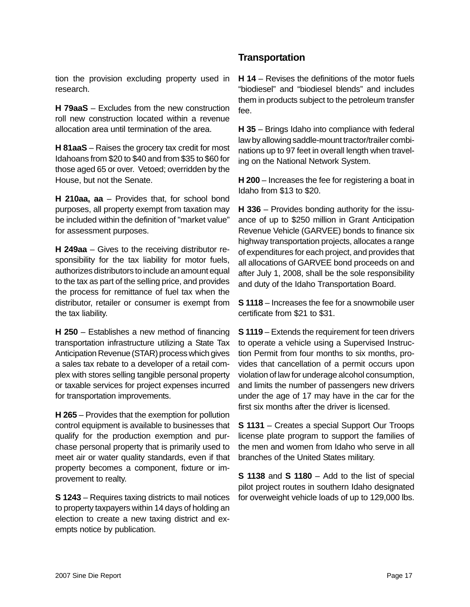#### tion the provision excluding property used in research.

**H 79aaS** – Excludes from the new construction roll new construction located within a revenue allocation area until termination of the area.

**H 81aaS** – Raises the grocery tax credit for most Idahoans from \$20 to \$40 and from \$35 to \$60 for those aged 65 or over. Vetoed; overridden by the House, but not the Senate.

**H 210aa, aa** – Provides that, for school bond purposes, all property exempt from taxation may be included within the definition of "market value" for assessment purposes.

**H 249aa** – Gives to the receiving distributor responsibility for the tax liability for motor fuels, authorizes distributors to include an amount equal to the tax as part of the selling price, and provides the process for remittance of fuel tax when the distributor, retailer or consumer is exempt from the tax liability.

**H 250** – Establishes a new method of financing transportation infrastructure utilizing a State Tax Anticipation Revenue (STAR) process which gives a sales tax rebate to a developer of a retail complex with stores selling tangible personal property or taxable services for project expenses incurred for transportation improvements.

**H 265** – Provides that the exemption for pollution control equipment is available to businesses that qualify for the production exemption and purchase personal property that is primarily used to meet air or water quality standards, even if that property becomes a component, fixture or improvement to realty.

**S 1243** – Requires taxing districts to mail notices to property taxpayers within 14 days of holding an election to create a new taxing district and exempts notice by publication.

### **Transportation**

**H 14** – Revises the definitions of the motor fuels "biodiesel" and "biodiesel blends" and includes them in products subject to the petroleum transfer fee.

**H 35** – Brings Idaho into compliance with federal law by allowing saddle-mount tractor/trailer combinations up to 97 feet in overall length when traveling on the National Network System.

**H 200** – Increases the fee for registering a boat in Idaho from \$13 to \$20.

**H 336** – Provides bonding authority for the issuance of up to \$250 million in Grant Anticipation Revenue Vehicle (GARVEE) bonds to finance six highway transportation projects, allocates a range of expenditures for each project, and provides that all allocations of GARVEE bond proceeds on and after July 1, 2008, shall be the sole responsibility and duty of the Idaho Transportation Board.

**S 1118** – Increases the fee for a snowmobile user certificate from \$21 to \$31.

**S 1119** – Extends the requirement for teen drivers to operate a vehicle using a Supervised Instruction Permit from four months to six months, provides that cancellation of a permit occurs upon violation of law for underage alcohol consumption, and limits the number of passengers new drivers under the age of 17 may have in the car for the first six months after the driver is licensed.

**S 1131** – Creates a special Support Our Troops license plate program to support the families of the men and women from Idaho who serve in all branches of the United States military.

**S 1138** and **S 1180** – Add to the list of special pilot project routes in southern Idaho designated for overweight vehicle loads of up to 129,000 lbs.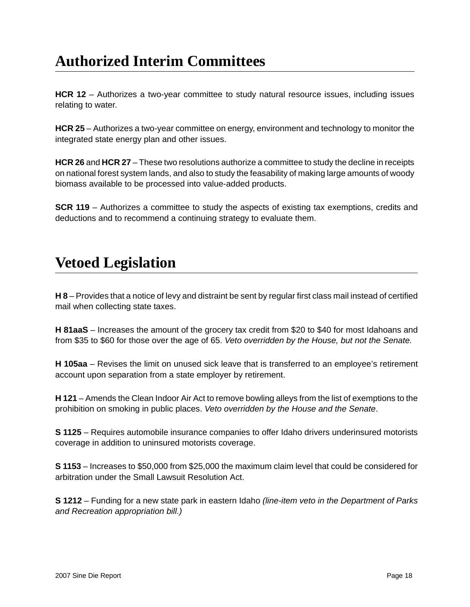# **Authorized Interim Committees**

**HCR 12** – Authorizes a two-year committee to study natural resource issues, including issues relating to water.

**HCR 25** – Authorizes a two-year committee on energy, environment and technology to monitor the integrated state energy plan and other issues.

**HCR 26** and **HCR 27** – These two resolutions authorize a committee to study the decline in receipts on national forest system lands, and also to study the feasability of making large amounts of woody biomass available to be processed into value-added products.

**SCR 119** – Authorizes a committee to study the aspects of existing tax exemptions, credits and deductions and to recommend a continuing strategy to evaluate them.

# **Vetoed Legislation**

**H 8** – Provides that a notice of levy and distraint be sent by regular first class mail instead of certified mail when collecting state taxes.

**H 81aaS** – Increases the amount of the grocery tax credit from \$20 to \$40 for most Idahoans and from \$35 to \$60 for those over the age of 65. *Veto overridden by the House, but not the Senate.*

**H 105aa** – Revises the limit on unused sick leave that is transferred to an employee's retirement account upon separation from a state employer by retirement.

**H 121** – Amends the Clean Indoor Air Act to remove bowling alleys from the list of exemptions to the prohibition on smoking in public places. *Veto overridden by the House and the Senate*.

**S 1125** – Requires automobile insurance companies to offer Idaho drivers underinsured motorists coverage in addition to uninsured motorists coverage.

**S 1153** – Increases to \$50,000 from \$25,000 the maximum claim level that could be considered for arbitration under the Small Lawsuit Resolution Act.

**S 1212** – Funding for a new state park in eastern Idaho *(line-item veto in the Department of Parks and Recreation appropriation bill.)*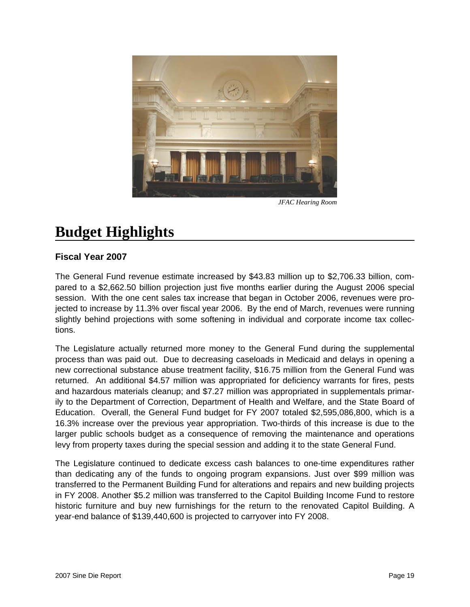

*JFAC Hearing Room*

# **Budget Highlights**

### **Fiscal Year 2007**

The General Fund revenue estimate increased by \$43.83 million up to \$2,706.33 billion, compared to a \$2,662.50 billion projection just five months earlier during the August 2006 special session. With the one cent sales tax increase that began in October 2006, revenues were projected to increase by 11.3% over fiscal year 2006. By the end of March, revenues were running slightly behind projections with some softening in individual and corporate income tax collections.

The Legislature actually returned more money to the General Fund during the supplemental process than was paid out. Due to decreasing caseloads in Medicaid and delays in opening a new correctional substance abuse treatment facility, \$16.75 million from the General Fund was returned. An additional \$4.57 million was appropriated for deficiency warrants for fires, pests and hazardous materials cleanup; and \$7.27 million was appropriated in supplementals primarily to the Department of Correction, Department of Health and Welfare, and the State Board of Education. Overall, the General Fund budget for FY 2007 totaled \$2,595,086,800, which is a 16.3% increase over the previous year appropriation. Two-thirds of this increase is due to the larger public schools budget as a consequence of removing the maintenance and operations levy from property taxes during the special session and adding it to the state General Fund.

The Legislature continued to dedicate excess cash balances to one-time expenditures rather than dedicating any of the funds to ongoing program expansions. Just over \$99 million was transferred to the Permanent Building Fund for alterations and repairs and new building projects in FY 2008. Another \$5.2 million was transferred to the Capitol Building Income Fund to restore historic furniture and buy new furnishings for the return to the renovated Capitol Building. A year-end balance of \$139,440,600 is projected to carryover into FY 2008.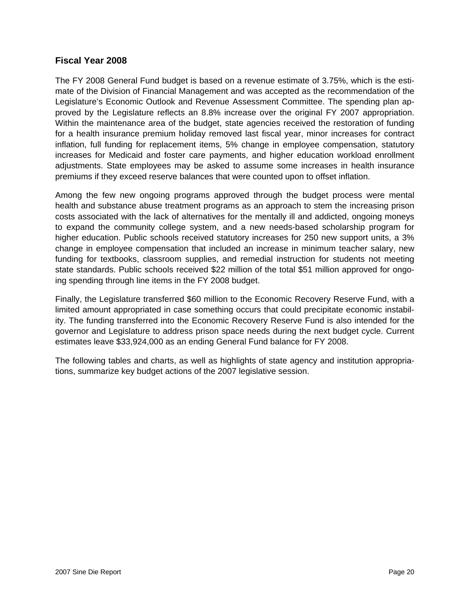#### **Fiscal Year 2008**

The FY 2008 General Fund budget is based on a revenue estimate of 3.75%, which is the estimate of the Division of Financial Management and was accepted as the recommendation of the Legislature's Economic Outlook and Revenue Assessment Committee. The spending plan approved by the Legislature reflects an 8.8% increase over the original FY 2007 appropriation. Within the maintenance area of the budget, state agencies received the restoration of funding for a health insurance premium holiday removed last fiscal year, minor increases for contract inflation, full funding for replacement items, 5% change in employee compensation, statutory increases for Medicaid and foster care payments, and higher education workload enrollment adjustments. State employees may be asked to assume some increases in health insurance premiums if they exceed reserve balances that were counted upon to offset inflation.

Among the few new ongoing programs approved through the budget process were mental health and substance abuse treatment programs as an approach to stem the increasing prison costs associated with the lack of alternatives for the mentally ill and addicted, ongoing moneys to expand the community college system, and a new needs-based scholarship program for higher education. Public schools received statutory increases for 250 new support units, a 3% change in employee compensation that included an increase in minimum teacher salary, new funding for textbooks, classroom supplies, and remedial instruction for students not meeting state standards. Public schools received \$22 million of the total \$51 million approved for ongoing spending through line items in the FY 2008 budget.

Finally, the Legislature transferred \$60 million to the Economic Recovery Reserve Fund, with a limited amount appropriated in case something occurs that could precipitate economic instability. The funding transferred into the Economic Recovery Reserve Fund is also intended for the governor and Legislature to address prison space needs during the next budget cycle. Current estimates leave \$33,924,000 as an ending General Fund balance for FY 2008.

The following tables and charts, as well as highlights of state agency and institution appropriations, summarize key budget actions of the 2007 legislative session.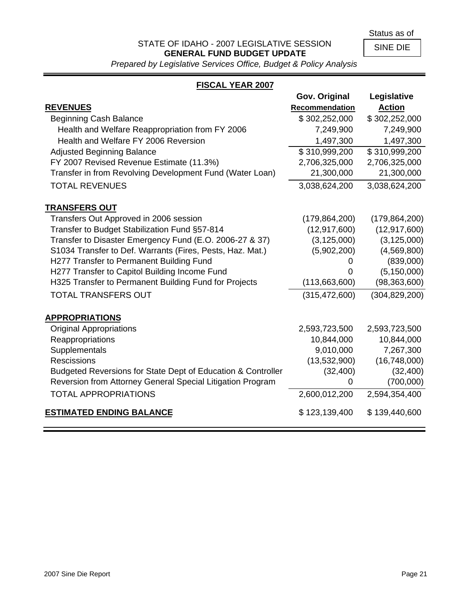Status as of

### STATE OF IDAHO - 2007 LEGISLATIVE SESSION **GENERAL FUND BUDGET UPDATE**

SINE DIE

*Prepared by Legislative Services Office, Budget & Policy Analysis*

### **FISCAL YEAR 2007**

|                                                              | Gov. Original   | Legislative     |
|--------------------------------------------------------------|-----------------|-----------------|
| <b>REVENUES</b>                                              | Recommendation  | <b>Action</b>   |
| <b>Beginning Cash Balance</b>                                | \$302,252,000   | \$302,252,000   |
| Health and Welfare Reappropriation from FY 2006              | 7,249,900       | 7,249,900       |
| Health and Welfare FY 2006 Reversion                         | 1,497,300       | 1,497,300       |
| <b>Adjusted Beginning Balance</b>                            | \$310,999,200   | \$310,999,200   |
| FY 2007 Revised Revenue Estimate (11.3%)                     | 2,706,325,000   | 2,706,325,000   |
| Transfer in from Revolving Development Fund (Water Loan)     | 21,300,000      | 21,300,000      |
| <b>TOTAL REVENUES</b>                                        | 3,038,624,200   | 3,038,624,200   |
| <b>TRANSFERS OUT</b>                                         |                 |                 |
| Transfers Out Approved in 2006 session                       | (179, 864, 200) | (179, 864, 200) |
| Transfer to Budget Stabilization Fund §57-814                | (12, 917, 600)  | (12, 917, 600)  |
| Transfer to Disaster Emergency Fund (E.O. 2006-27 & 37)      | (3, 125, 000)   | (3, 125, 000)   |
| S1034 Transfer to Def. Warrants (Fires, Pests, Haz. Mat.)    | (5,902,200)     | (4,569,800)     |
| H277 Transfer to Permanent Building Fund                     | 0               | (839,000)       |
| H277 Transfer to Capitol Building Income Fund                | 0               | (5, 150, 000)   |
| H325 Transfer to Permanent Building Fund for Projects        | (113,663,600)   | (98, 363, 600)  |
| <b>TOTAL TRANSFERS OUT</b>                                   | (315, 472, 600) | (304, 829, 200) |
| <b>APPROPRIATIONS</b>                                        |                 |                 |
| <b>Original Appropriations</b>                               | 2,593,723,500   | 2,593,723,500   |
| Reappropriations                                             | 10,844,000      | 10,844,000      |
| Supplementals                                                | 9,010,000       | 7,267,300       |
| <b>Rescissions</b>                                           | (13,532,900)    | (16,748,000)    |
| Budgeted Reversions for State Dept of Education & Controller | (32, 400)       | (32, 400)       |
| Reversion from Attorney General Special Litigation Program   | 0               | (700,000)       |
| <b>TOTAL APPROPRIATIONS</b>                                  | 2,600,012,200   | 2,594,354,400   |
| <b>ESTIMATED ENDING BALANCE</b>                              | \$123,139,400   | \$139,440,600   |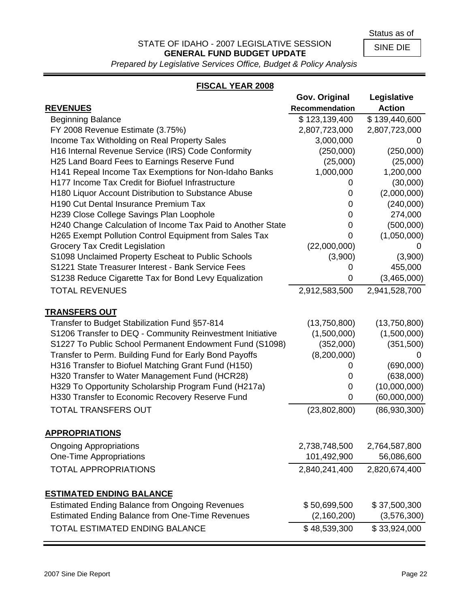Status as of

### STATE OF IDAHO - 2007 LEGISLATIVE SESSION **GENERAL FUND BUDGET UPDATE**

SINE DIE

*Prepared by Legislative Services Office, Budget & Policy Analysis*

### **FISCAL YEAR 2008**

|                                                             | Gov. Original  | Legislative   |
|-------------------------------------------------------------|----------------|---------------|
| <b>REVENUES</b>                                             | Recommendation | <b>Action</b> |
| <b>Beginning Balance</b>                                    | \$123,139,400  | \$139,440,600 |
| FY 2008 Revenue Estimate (3.75%)                            | 2,807,723,000  | 2,807,723,000 |
| Income Tax Witholding on Real Property Sales                | 3,000,000      | 0             |
| H16 Internal Revenue Service (IRS) Code Conformity          | (250,000)      | (250,000)     |
| H25 Land Board Fees to Earnings Reserve Fund                | (25,000)       | (25,000)      |
| H141 Repeal Income Tax Exemptions for Non-Idaho Banks       | 1,000,000      | 1,200,000     |
| H177 Income Tax Credit for Biofuel Infrastructure           | 0              | (30,000)      |
| H180 Liquor Account Distribution to Substance Abuse         | 0              | (2,000,000)   |
| H190 Cut Dental Insurance Premium Tax                       | 0              | (240,000)     |
| H239 Close College Savings Plan Loophole                    | 0              | 274,000       |
| H240 Change Calculation of Income Tax Paid to Another State | 0              | (500,000)     |
| H265 Exempt Pollution Control Equipment from Sales Tax      | 0              | (1,050,000)   |
| Grocery Tax Credit Legislation                              | (22,000,000)   |               |
| S1098 Unclaimed Property Escheat to Public Schools          | (3,900)        | (3,900)       |
| S1221 State Treasurer Interest - Bank Service Fees          | 0              | 455,000       |
| S1238 Reduce Cigarette Tax for Bond Levy Equalization       | 0              | (3,465,000)   |
| <b>TOTAL REVENUES</b>                                       | 2,912,583,500  | 2,941,528,700 |
| <b>TRANSFERS OUT</b>                                        |                |               |
| Transfer to Budget Stabilization Fund §57-814               | (13,750,800)   | (13,750,800)  |
| S1206 Transfer to DEQ - Community Reinvestment Initiative   | (1,500,000)    | (1,500,000)   |
| S1227 To Public School Permanent Endowment Fund (S1098)     | (352,000)      | (351,500)     |
| Transfer to Perm. Building Fund for Early Bond Payoffs      | (8,200,000)    |               |
| H316 Transfer to Biofuel Matching Grant Fund (H150)         | U              | (690,000)     |
| H320 Transfer to Water Management Fund (HCR28)              | 0              | (638,000)     |
| H329 To Opportunity Scholarship Program Fund (H217a)        | 0              | (10,000,000)  |
| H330 Transfer to Economic Recovery Reserve Fund             | 0              | (60,000,000)  |
| <b>TOTAL TRANSFERS OUT</b>                                  | (23,802,800)   | (86,930,300)  |
| <b>APPROPRIATIONS</b>                                       |                |               |
| <b>Ongoing Appropriations</b>                               | 2,738,748,500  | 2,764,587,800 |
| One-Time Appropriations                                     | 101,492,900    | 56,086,600    |
|                                                             |                |               |
| <b>TOTAL APPROPRIATIONS</b>                                 | 2,840,241,400  | 2,820,674,400 |
| <b>ESTIMATED ENDING BALANCE</b>                             |                |               |
| <b>Estimated Ending Balance from Ongoing Revenues</b>       | \$50,699,500   | \$37,500,300  |
| <b>Estimated Ending Balance from One-Time Revenues</b>      | (2, 160, 200)  | (3,576,300)   |
| TOTAL ESTIMATED ENDING BALANCE                              | \$48,539,300   | \$33,924,000  |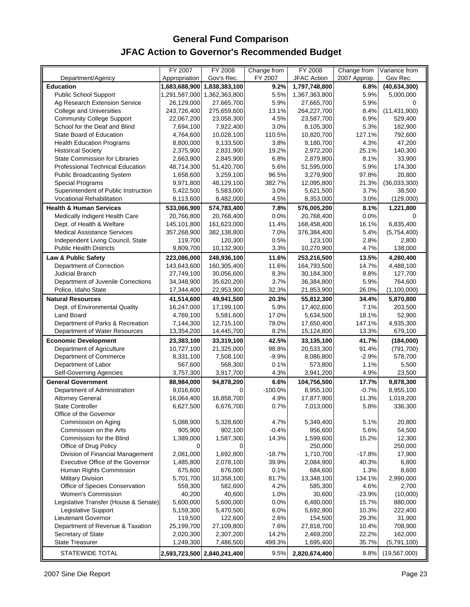### **General Fund Comparison JFAC Action to Governor's Recommended Budget**

|                                         | FY 2007       | <b>FY 2008</b> | Change from | <b>FY 2008</b>     | Change from  | Variance from  |
|-----------------------------------------|---------------|----------------|-------------|--------------------|--------------|----------------|
| Department/Agency                       | Appropriation | Gov's Rec.     | FY 2007     | <b>JFAC Action</b> | 2007 Approp. | Gov Rec.       |
| <b>Education</b>                        | 1,683,688,900 | 1,838,383,100  | 9.2%        | 1,797,748,800      | 6.8%         | (40, 634, 300) |
| <b>Public School Support</b>            | 1,291,587,000 | 1,362,363,800  | 5.5%        | 1,367,363,800      | 5.9%         | 5,000,000      |
| Ag Research Extension Service           | 26,129,000    | 27,665,700     | 5.9%        | 27,665,700         | 5.9%         | 0              |
| <b>College and Universities</b>         | 243,726,400   | 275,659,600    | 13.1%       | 264,227,700        | 8.4%         | (11, 431, 900) |
| <b>Community College Support</b>        | 22,067,200    | 23,058,300     | 4.5%        | 23,587,700         | 6.9%         | 529,400        |
| School for the Deaf and Blind           | 7,694,100     | 7,922,400      | 3.0%        | 8,105,300          | 5.3%         | 182,900        |
| State Board of Education                | 4,764,600     | 10,028,100     | 110.5%      | 10,820,700         | 127.1%       | 792,600        |
| <b>Health Education Programs</b>        | 8,800,000     | 9,133,500      | 3.8%        | 9,180,700          | 4.3%         | 47,200         |
| <b>Historical Society</b>               | 2,375,900     | 2,831,900      | 19.2%       | 2,972,200          | 25.1%        | 140,300        |
| <b>State Commission for Libraries</b>   | 2,663,900     | 2,845,900      | 6.8%        | 2,879,800          | 8.1%         | 33,900         |
| <b>Professional Technical Education</b> | 48,714,300    | 51,420,700     | 5.6%        | 51,595,000         | 5.9%         | 174,300        |
| Public Broadcasting System              | 1,658,600     | 3,259,100      | 96.5%       | 3,279,900          | 97.8%        | 20,800         |
| <b>Special Programs</b>                 | 9,971,800     | 48,129,100     | 382.7%      | 12,095,800         | 21.3%        | (36,033,300)   |
| Superintendent of Public Instruction    | 5,422,500     | 5,583,000      | 3.0%        | 5,621,500          | 3.7%         | 38,500         |
| Vocational Rehabilitation               | 8,113,600     | 8,482,000      | 4.5%        | 8,353,000          | 3.0%         | (129,000)      |
| <b>Health &amp; Human Services</b>      | 533,066,900   | 574,783,400    | 7.8%        | 576,005,200        | 8.1%         | 1,221,800      |
| Medically Indigent Health Care          | 20,766,800    | 20,768,400     | 0.0%        | 20,768,400         | 0.0%         | 0              |
| Dept. of Health & Welfare               | 145,101,800   | 161,623,000    | 11.4%       | 168,458,400        | 16.1%        | 6,835,400      |
| <b>Medical Assistance Services</b>      | 357,268,900   | 382,138,800    | 7.0%        | 376,384,400        | 5.4%         | (5,754,400)    |
| Independent Living Council, State       | 119,700       | 120,300        | 0.5%        | 123,100            | 2.8%         | 2,800          |
| <b>Public Health Districts</b>          | 9,809,700     | 10,132,900     | 3.3%        | 10,270,900         | 4.7%         | 138,000        |
|                                         |               |                |             |                    |              |                |
| Law & Public Safety                     | 223,086,000   | 248,936,100    | 11.6%       | 253,216,500        | 13.5%        | 4,280,400      |
| Department of Correction                | 143,643,600   | 160,305,400    | 11.6%       | 164,793,500        | 14.7%        | 4,488,100      |
| Judicial Branch                         | 27,749,100    | 30,056,600     | 8.3%        | 30,184,300         | 8.8%         | 127,700        |
| Department of Juvenile Corrections      | 34,348,900    | 35,620,200     | 3.7%        | 36,384,800         | 5.9%         | 764,600        |
| Police, Idaho State                     | 17,344,400    | 22,953,900     | 32.3%       | 21,853,900         | 26.0%        | (1,100,000)    |
| <b>Natural Resources</b>                | 41,514,600    | 49,941,500     | 20.3%       | 55,812,300         | 34.4%        | 5,870,800      |
| Dept. of Environmental Quality          | 16,247,000    | 17,199,100     | 5.9%        | 17,402,600         | 7.1%         | 203,500        |
| <b>Land Board</b>                       | 4,769,100     | 5,581,600      | 17.0%       | 5,634,500          | 18.1%        | 52,900         |
| Department of Parks & Recreation        | 7,144,300     | 12,715,100     | 78.0%       | 17,650,400         | 147.1%       | 4,935,300      |
| Department of Water Resources           | 13,354,200    | 14,445,700     | 8.2%        | 15,124,800         | 13.3%        | 679,100        |
| <b>Economic Development</b>             | 23,383,100    | 33,319,100     | 42.5%       | 33,135,100         | 41.7%        | (184,000)      |
| Department of Agriculture               | 10,727,100    | 21,325,000     | 98.8%       | 20,533,300         | 91.4%        | (791, 700)     |
| Department of Commerce                  | 8,331,100     | 7,508,100      | $-9.9%$     | 8,086,800          | $-2.9%$      | 578,700        |
| Department of Labor                     | 567,600       | 568,300        | 0.1%        | 573,800            | 1.1%         | 5,500          |
| Self-Governing Agencies                 | 3,757,300     | 3,917,700      | 4.3%        | 3,941,200          | 4.9%         | 23,500         |
| <b>General Government</b>               | 88,984,000    | 94,878,200     | 6.6%        | 104,756,500        | 17.7%        | 9,878,300      |
| Department of Administration            | 9,016,600     | $\Omega$       | $-100.0%$   | 8,955,100          | $-0.7%$      | 8,955,100      |
| <b>Attorney General</b>                 | 16,064,400    | 16,858,700     | 4.9%        | 17,877,900         | 11.3%        | 1,019,200      |
| <b>State Controller</b>                 | 6,627,500     | 6,676,700      | 0.7%        | 7,013,000          | 5.8%         | 336,300        |
| Office of the Governor                  |               |                |             |                    |              |                |
| Commission on Aging                     | 5,088,900     | 5,328,600      | 4.7%        | 5,349,400          | 5.1%         | 20,800         |
| Commission on the Arts                  | 905,900       | 902,100        | $-0.4%$     | 956,600            | 5.6%         | 54,500         |
| Commission for the Blind                | 1,389,000     | 1,587,300      | 14.3%       | 1,599,600          | 15.2%        | 12,300         |
| Office of Drug Policy                   | 0             | 0              |             | 250,000            |              | 250,000        |
| Division of Financial Management        | 2,081,000     | 1,692,800      | $-18.7%$    | 1,710,700          | $-17.8%$     | 17,900         |
| <b>Executive Office of the Governor</b> | 1,485,800     | 2,078,100      | 39.9%       | 2,084,900          | 40.3%        | 6,800          |
| Human Rights Commission                 | 675,600       | 676,000        | 0.1%        | 684,600            | 1.3%         | 8,600          |
| <b>Military Division</b>                | 5,701,700     | 10,358,100     | 81.7%       | 13,348,100         | 134.1%       | 2,990,000      |
| Office of Species Conservation          | 559,300       | 582,600        | 4.2%        | 585,300            | 4.6%         | 2,700          |
| <b>Women's Commission</b>               | 40,200        | 40,600         | 1.0%        | 30,600             | $-23.9%$     | (10,000)       |
| Legislative Transfer (House & Senate)   | 5,600,000     | 5,600,000      | 0.0%        | 6,480,000          | 15.7%        | 880,000        |
| Legislative Support                     | 5,159,300     | 5,470,500      | 6.0%        | 5,692,900          | 10.3%        | 222,400        |
| Lieutenant Governor                     | 119,500       | 122,600        | 2.6%        | 154,500            | 29.3%        | 31,900         |
| Department of Revenue & Taxation        | 25,199,700    | 27,109,800     | 7.6%        | 27,818,700         | 10.4%        | 708,900        |
| Secretary of State                      | 2,020,300     | 2,307,200      | 14.2%       | 2,469,200          | 22.2%        | 162,000        |
| <b>State Treasurer</b>                  |               |                | 499.3%      |                    | 35.7%        |                |
|                                         | 1,249,300     | 7,486,500      |             | 1,695,400          |              | (5,791,100)    |
| STATEWIDE TOTAL                         | 2,593,723,500 | 2,840,241,400  | 9.5%        | 2,820,674,400      | 8.8%         | (19, 567, 000) |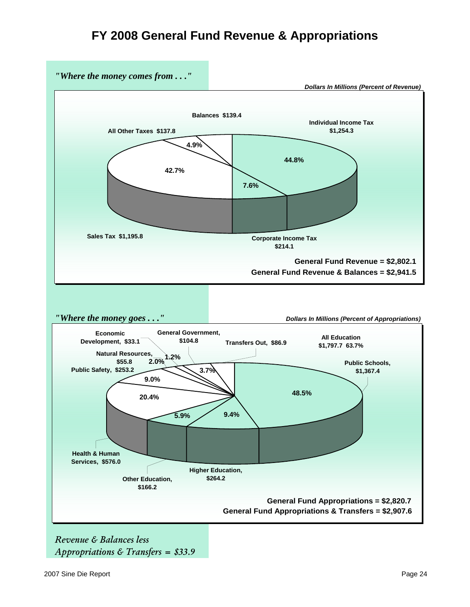### **FY 2008 General Fund Revenue & Appropriations**



*Revenue & Balances less Appropriations & Transfers = \$33.9*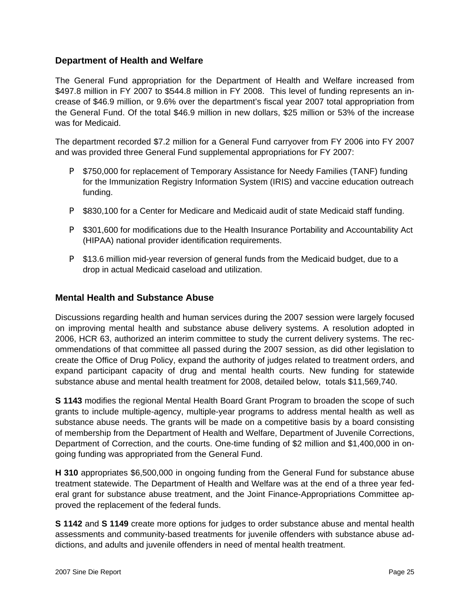### **Department of Health and Welfare**

The General Fund appropriation for the Department of Health and Welfare increased from \$497.8 million in FY 2007 to \$544.8 million in FY 2008. This level of funding represents an increase of \$46.9 million, or 9.6% over the department's fiscal year 2007 total appropriation from the General Fund. Of the total \$46.9 million in new dollars, \$25 million or 53% of the increase was for Medicaid.

The department recorded \$7.2 million for a General Fund carryover from FY 2006 into FY 2007 and was provided three General Fund supplemental appropriations for FY 2007:

- P \$750,000 for replacement of Temporary Assistance for Needy Families (TANF) funding for the Immunization Registry Information System (IRIS) and vaccine education outreach funding.
- **P** \$830,100 for a Center for Medicare and Medicaid audit of state Medicaid staff funding.
- **P** \$301,600 for modifications due to the Health Insurance Portability and Accountability Act (HIPAA) national provider identification requirements.
- **P** \$13.6 million mid-year reversion of general funds from the Medicaid budget, due to a drop in actual Medicaid caseload and utilization.

#### **Mental Health and Substance Abuse**

Discussions regarding health and human services during the 2007 session were largely focused on improving mental health and substance abuse delivery systems. A resolution adopted in 2006, HCR 63, authorized an interim committee to study the current delivery systems. The recommendations of that committee all passed during the 2007 session, as did other legislation to create the Office of Drug Policy, expand the authority of judges related to treatment orders, and expand participant capacity of drug and mental health courts. New funding for statewide substance abuse and mental health treatment for 2008, detailed below, totals \$11,569,740.

**S 1143** modifies the regional Mental Health Board Grant Program to broaden the scope of such grants to include multiple-agency, multiple-year programs to address mental health as well as substance abuse needs. The grants will be made on a competitive basis by a board consisting of membership from the Department of Health and Welfare, Department of Juvenile Corrections, Department of Correction, and the courts. One-time funding of \$2 million and \$1,400,000 in ongoing funding was appropriated from the General Fund.

**H 310** appropriates \$6,500,000 in ongoing funding from the General Fund for substance abuse treatment statewide. The Department of Health and Welfare was at the end of a three year federal grant for substance abuse treatment, and the Joint Finance-Appropriations Committee approved the replacement of the federal funds.

**S 1142** and **S 1149** create more options for judges to order substance abuse and mental health assessments and community-based treatments for juvenile offenders with substance abuse addictions, and adults and juvenile offenders in need of mental health treatment.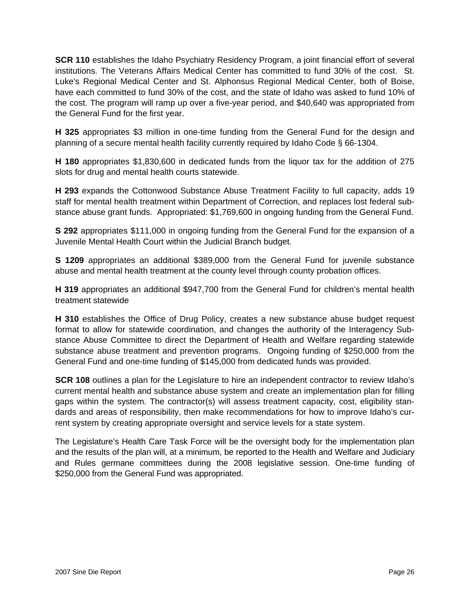**SCR 110** establishes the Idaho Psychiatry Residency Program, a joint financial effort of several institutions. The Veterans Affairs Medical Center has committed to fund 30% of the cost. St. Luke's Regional Medical Center and St. Alphonsus Regional Medical Center, both of Boise, have each committed to fund 30% of the cost, and the state of Idaho was asked to fund 10% of the cost. The program will ramp up over a five-year period, and \$40,640 was appropriated from the General Fund for the first year.

**H 325** appropriates \$3 million in one-time funding from the General Fund for the design and planning of a secure mental health facility currently required by Idaho Code § 66-1304.

**H 180** appropriates \$1,830,600 in dedicated funds from the liquor tax for the addition of 275 slots for drug and mental health courts statewide.

**H 293** expands the Cottonwood Substance Abuse Treatment Facility to full capacity, adds 19 staff for mental health treatment within Department of Correction, and replaces lost federal substance abuse grant funds. Appropriated: \$1,769,600 in ongoing funding from the General Fund.

**S 292** appropriates \$111,000 in ongoing funding from the General Fund for the expansion of a Juvenile Mental Health Court within the Judicial Branch budget.

**S 1209** appropriates an additional \$389,000 from the General Fund for juvenile substance abuse and mental health treatment at the county level through county probation offices.

**H 319** appropriates an additional \$947,700 from the General Fund for children's mental health treatment statewide

**H 310** establishes the Office of Drug Policy, creates a new substance abuse budget request format to allow for statewide coordination, and changes the authority of the Interagency Substance Abuse Committee to direct the Department of Health and Welfare regarding statewide substance abuse treatment and prevention programs. Ongoing funding of \$250,000 from the General Fund and one-time funding of \$145,000 from dedicated funds was provided.

**SCR 108** outlines a plan for the Legislature to hire an independent contractor to review Idaho's current mental health and substance abuse system and create an implementation plan for filling gaps within the system. The contractor(s) will assess treatment capacity, cost, eligibility standards and areas of responsibility, then make recommendations for how to improve Idaho's current system by creating appropriate oversight and service levels for a state system.

The Legislature's Health Care Task Force will be the oversight body for the implementation plan and the results of the plan will, at a minimum, be reported to the Health and Welfare and Judiciary and Rules germane committees during the 2008 legislative session. One-time funding of \$250,000 from the General Fund was appropriated.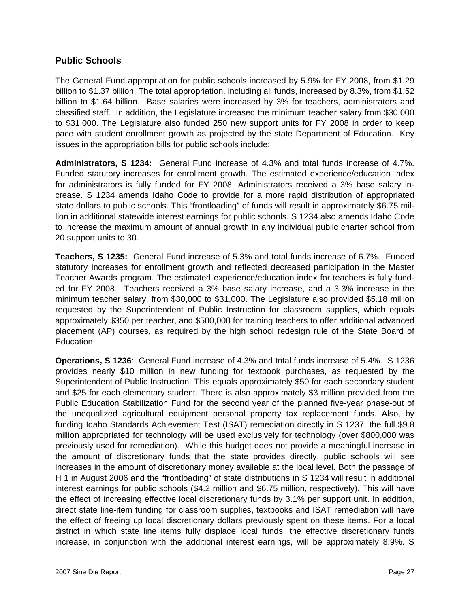#### **Public Schools**

The General Fund appropriation for public schools increased by 5.9% for FY 2008, from \$1.29 billion to \$1.37 billion. The total appropriation, including all funds, increased by 8.3%, from \$1.52 billion to \$1.64 billion. Base salaries were increased by 3% for teachers, administrators and classified staff. In addition, the Legislature increased the minimum teacher salary from \$30,000 to \$31,000. The Legislature also funded 250 new support units for FY 2008 in order to keep pace with student enrollment growth as projected by the state Department of Education. Key issues in the appropriation bills for public schools include:

**Administrators, S 1234:** General Fund increase of 4.3% and total funds increase of 4.7%. Funded statutory increases for enrollment growth. The estimated experience/education index for administrators is fully funded for FY 2008. Administrators received a 3% base salary increase. S 1234 amends Idaho Code to provide for a more rapid distribution of appropriated state dollars to public schools. This "frontloading" of funds will result in approximately \$6.75 million in additional statewide interest earnings for public schools. S 1234 also amends Idaho Code to increase the maximum amount of annual growth in any individual public charter school from 20 support units to 30.

**Teachers, S 1235:** General Fund increase of 5.3% and total funds increase of 6.7%. Funded statutory increases for enrollment growth and reflected decreased participation in the Master Teacher Awards program. The estimated experience/education index for teachers is fully funded for FY 2008. Teachers received a 3% base salary increase, and a 3.3% increase in the minimum teacher salary, from \$30,000 to \$31,000. The Legislature also provided \$5.18 million requested by the Superintendent of Public Instruction for classroom supplies, which equals approximately \$350 per teacher, and \$500,000 for training teachers to offer additional advanced placement (AP) courses, as required by the high school redesign rule of the State Board of Education.

**Operations, S 1236**: General Fund increase of 4.3% and total funds increase of 5.4%. S 1236 provides nearly \$10 million in new funding for textbook purchases, as requested by the Superintendent of Public Instruction. This equals approximately \$50 for each secondary student and \$25 for each elementary student. There is also approximately \$3 million provided from the Public Education Stabilization Fund for the second year of the planned five-year phase-out of the unequalized agricultural equipment personal property tax replacement funds. Also, by funding Idaho Standards Achievement Test (ISAT) remediation directly in S 1237, the full \$9.8 million appropriated for technology will be used exclusively for technology (over \$800,000 was previously used for remediation). While this budget does not provide a meaningful increase in the amount of discretionary funds that the state provides directly, public schools will see increases in the amount of discretionary money available at the local level. Both the passage of H 1 in August 2006 and the "frontloading" of state distributions in S 1234 will result in additional interest earnings for public schools (\$4.2 million and \$6.75 million, respectively). This will have the effect of increasing effective local discretionary funds by 3.1% per support unit. In addition, direct state line-item funding for classroom supplies, textbooks and ISAT remediation will have the effect of freeing up local discretionary dollars previously spent on these items. For a local district in which state line items fully displace local funds, the effective discretionary funds increase, in conjunction with the additional interest earnings, will be approximately 8.9%. S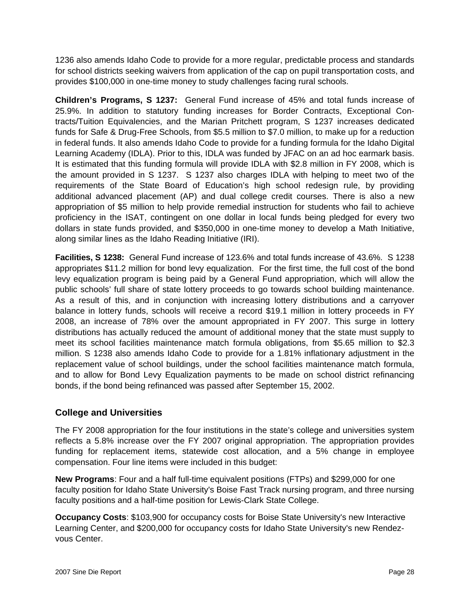1236 also amends Idaho Code to provide for a more regular, predictable process and standards for school districts seeking waivers from application of the cap on pupil transportation costs, and provides \$100,000 in one-time money to study challenges facing rural schools.

**Children's Programs, S 1237:** General Fund increase of 45% and total funds increase of 25.9%. In addition to statutory funding increases for Border Contracts, Exceptional Contracts/Tuition Equivalencies, and the Marian Pritchett program, S 1237 increases dedicated funds for Safe & Drug-Free Schools, from \$5.5 million to \$7.0 million, to make up for a reduction in federal funds. It also amends Idaho Code to provide for a funding formula for the Idaho Digital Learning Academy (IDLA). Prior to this, IDLA was funded by JFAC on an ad hoc earmark basis. It is estimated that this funding formula will provide IDLA with \$2.8 million in FY 2008, which is the amount provided in S 1237. S 1237 also charges IDLA with helping to meet two of the requirements of the State Board of Education's high school redesign rule, by providing additional advanced placement (AP) and dual college credit courses. There is also a new appropriation of \$5 million to help provide remedial instruction for students who fail to achieve proficiency in the ISAT, contingent on one dollar in local funds being pledged for every two dollars in state funds provided, and \$350,000 in one-time money to develop a Math Initiative, along similar lines as the Idaho Reading Initiative (IRI).

**Facilities, S 1238:** General Fund increase of 123.6% and total funds increase of 43.6%. S 1238 appropriates \$11.2 million for bond levy equalization. For the first time, the full cost of the bond levy equalization program is being paid by a General Fund appropriation, which will allow the public schools' full share of state lottery proceeds to go towards school building maintenance. As a result of this, and in conjunction with increasing lottery distributions and a carryover balance in lottery funds, schools will receive a record \$19.1 million in lottery proceeds in FY 2008, an increase of 78% over the amount appropriated in FY 2007. This surge in lottery distributions has actually reduced the amount of additional money that the state must supply to meet its school facilities maintenance match formula obligations, from \$5.65 million to \$2.3 million. S 1238 also amends Idaho Code to provide for a 1.81% inflationary adjustment in the replacement value of school buildings, under the school facilities maintenance match formula, and to allow for Bond Levy Equalization payments to be made on school district refinancing bonds, if the bond being refinanced was passed after September 15, 2002.

### **College and Universities**

The FY 2008 appropriation for the four institutions in the state's college and universities system reflects a 5.8% increase over the FY 2007 original appropriation. The appropriation provides funding for replacement items, statewide cost allocation, and a 5% change in employee compensation. Four line items were included in this budget:

**New Programs**: Four and a half full-time equivalent positions (FTPs) and \$299,000 for one faculty position for Idaho State University's Boise Fast Track nursing program, and three nursing faculty positions and a half-time position for Lewis-Clark State College.

**Occupancy Costs**: \$103,900 for occupancy costs for Boise State University's new Interactive Learning Center, and \$200,000 for occupancy costs for Idaho State University's new Rendezvous Center.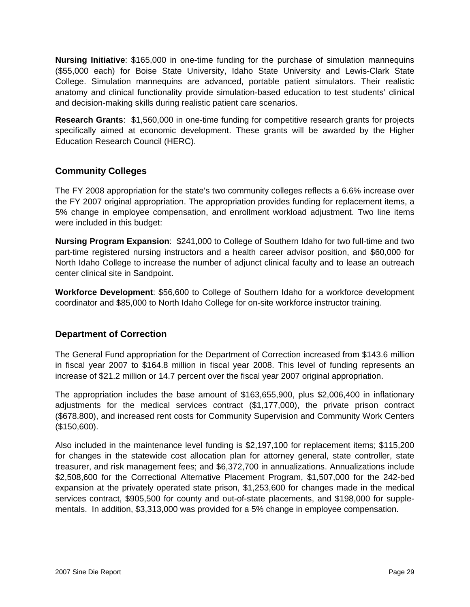**Nursing Initiative**: \$165,000 in one-time funding for the purchase of simulation mannequins (\$55,000 each) for Boise State University, Idaho State University and Lewis-Clark State College. Simulation mannequins are advanced, portable patient simulators. Their realistic anatomy and clinical functionality provide simulation-based education to test students' clinical and decision-making skills during realistic patient care scenarios.

**Research Grants**: \$1,560,000 in one-time funding for competitive research grants for projects specifically aimed at economic development. These grants will be awarded by the Higher Education Research Council (HERC).

### **Community Colleges**

The FY 2008 appropriation for the state's two community colleges reflects a 6.6% increase over the FY 2007 original appropriation. The appropriation provides funding for replacement items, a 5% change in employee compensation, and enrollment workload adjustment. Two line items were included in this budget:

**Nursing Program Expansion**: \$241,000 to College of Southern Idaho for two full-time and two part-time registered nursing instructors and a health career advisor position, and \$60,000 for North Idaho College to increase the number of adjunct clinical faculty and to lease an outreach center clinical site in Sandpoint.

**Workforce Development**: \$56,600 to College of Southern Idaho for a workforce development coordinator and \$85,000 to North Idaho College for on-site workforce instructor training.

### **Department of Correction**

The General Fund appropriation for the Department of Correction increased from \$143.6 million in fiscal year 2007 to \$164.8 million in fiscal year 2008. This level of funding represents an increase of \$21.2 million or 14.7 percent over the fiscal year 2007 original appropriation.

The appropriation includes the base amount of \$163,655,900, plus \$2,006,400 in inflationary adjustments for the medical services contract (\$1,177,000), the private prison contract (\$678.800), and increased rent costs for Community Supervision and Community Work Centers (\$150,600).

Also included in the maintenance level funding is \$2,197,100 for replacement items; \$115,200 for changes in the statewide cost allocation plan for attorney general, state controller, state treasurer, and risk management fees; and \$6,372,700 in annualizations. Annualizations include \$2,508,600 for the Correctional Alternative Placement Program, \$1,507,000 for the 242-bed expansion at the privately operated state prison, \$1,253,600 for changes made in the medical services contract, \$905,500 for county and out-of-state placements, and \$198,000 for supplementals. In addition, \$3,313,000 was provided for a 5% change in employee compensation.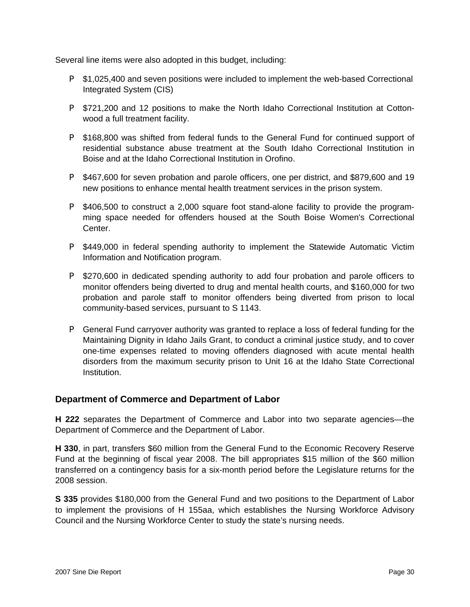Several line items were also adopted in this budget, including:

- **P** \$1,025,400 and seven positions were included to implement the web-based Correctional Integrated System (CIS)
- **P** \$721,200 and 12 positions to make the North Idaho Correctional Institution at Cottonwood a full treatment facility.
- **P** \$168,800 was shifted from federal funds to the General Fund for continued support of residential substance abuse treatment at the South Idaho Correctional Institution in Boise and at the Idaho Correctional Institution in Orofino.
- P \$467,600 for seven probation and parole officers, one per district, and \$879,600 and 19 new positions to enhance mental health treatment services in the prison system.
- P \$406,500 to construct a 2,000 square foot stand-alone facility to provide the programming space needed for offenders housed at the South Boise Women's Correctional Center.
- **P** \$449,000 in federal spending authority to implement the Statewide Automatic Victim Information and Notification program.
- **P** \$270,600 in dedicated spending authority to add four probation and parole officers to monitor offenders being diverted to drug and mental health courts, and \$160,000 for two probation and parole staff to monitor offenders being diverted from prison to local community-based services, pursuant to S 1143.
- **P** General Fund carryover authority was granted to replace a loss of federal funding for the Maintaining Dignity in Idaho Jails Grant, to conduct a criminal justice study, and to cover one-time expenses related to moving offenders diagnosed with acute mental health disorders from the maximum security prison to Unit 16 at the Idaho State Correctional Institution.

#### **Department of Commerce and Department of Labor**

**H 222** separates the Department of Commerce and Labor into two separate agencies—the Department of Commerce and the Department of Labor.

**H 330**, in part, transfers \$60 million from the General Fund to the Economic Recovery Reserve Fund at the beginning of fiscal year 2008. The bill appropriates \$15 million of the \$60 million transferred on a contingency basis for a six-month period before the Legislature returns for the 2008 session.

**S 335** provides \$180,000 from the General Fund and two positions to the Department of Labor to implement the provisions of H 155aa, which establishes the Nursing Workforce Advisory Council and the Nursing Workforce Center to study the state's nursing needs.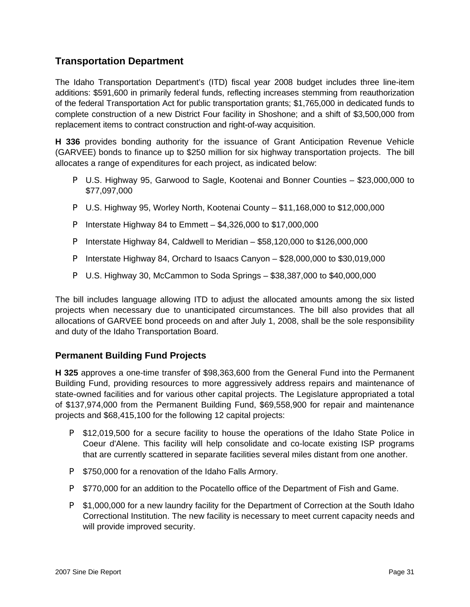### **Transportation Department**

The Idaho Transportation Department's (ITD) fiscal year 2008 budget includes three line-item additions: \$591,600 in primarily federal funds, reflecting increases stemming from reauthorization of the federal Transportation Act for public transportation grants; \$1,765,000 in dedicated funds to complete construction of a new District Four facility in Shoshone; and a shift of \$3,500,000 from replacement items to contract construction and right-of-way acquisition.

**H 336** provides bonding authority for the issuance of Grant Anticipation Revenue Vehicle (GARVEE) bonds to finance up to \$250 million for six highway transportation projects. The bill allocates a range of expenditures for each project, as indicated below:

- P U.S. Highway 95, Garwood to Sagle, Kootenai and Bonner Counties \$23,000,000 to \$77,097,000
- P U.S. Highway 95, Worley North, Kootenai County \$11,168,000 to \$12,000,000
- **P** Interstate Highway 84 to Emmett  $-$  \$4,326,000 to \$17,000,000
- P Interstate Highway 84, Caldwell to Meridian \$58,120,000 to \$126,000,000
- P Interstate Highway 84, Orchard to Isaacs Canyon \$28,000,000 to \$30,019,000
- P U.S. Highway 30, McCammon to Soda Springs \$38,387,000 to \$40,000,000

The bill includes language allowing ITD to adjust the allocated amounts among the six listed projects when necessary due to unanticipated circumstances. The bill also provides that all allocations of GARVEE bond proceeds on and after July 1, 2008, shall be the sole responsibility and duty of the Idaho Transportation Board.

### **Permanent Building Fund Projects**

**H 325** approves a one-time transfer of \$98,363,600 from the General Fund into the Permanent Building Fund, providing resources to more aggressively address repairs and maintenance of state-owned facilities and for various other capital projects. The Legislature appropriated a total of \$137,974,000 from the Permanent Building Fund, \$69,558,900 for repair and maintenance projects and \$68,415,100 for the following 12 capital projects:

- **P** \$12,019,500 for a secure facility to house the operations of the Idaho State Police in Coeur d'Alene. This facility will help consolidate and co-locate existing ISP programs that are currently scattered in separate facilities several miles distant from one another.
- **P** \$750,000 for a renovation of the Idaho Falls Armory.
- **P** \$770,000 for an addition to the Pocatello office of the Department of Fish and Game.
- **P** \$1,000,000 for a new laundry facility for the Department of Correction at the South Idaho Correctional Institution. The new facility is necessary to meet current capacity needs and will provide improved security.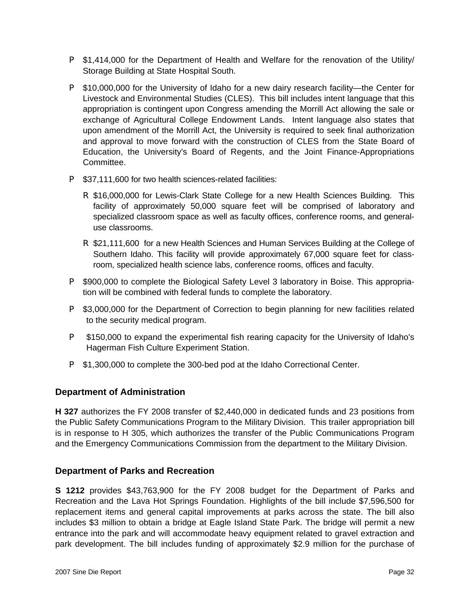- **P** \$1,414,000 for the Department of Health and Welfare for the renovation of the Utility/ Storage Building at State Hospital South.
- P \$10,000,000 for the University of Idaho for a new dairy research facility—the Center for Livestock and Environmental Studies (CLES). This bill includes intent language that this appropriation is contingent upon Congress amending the Morrill Act allowing the sale or exchange of Agricultural College Endowment Lands. Intent language also states that upon amendment of the Morrill Act, the University is required to seek final authorization and approval to move forward with the construction of CLES from the State Board of Education, the University's Board of Regents, and the Joint Finance-Appropriations Committee.
- P \$37,111,600 for two health sciences-related facilities:
	- R \$16,000,000 for Lewis-Clark State College for a new Health Sciences Building. This facility of approximately 50,000 square feet will be comprised of laboratory and specialized classroom space as well as faculty offices, conference rooms, and generaluse classrooms.
	- R \$21,111,600 for a new Health Sciences and Human Services Building at the College of Southern Idaho. This facility will provide approximately 67,000 square feet for classroom, specialized health science labs, conference rooms, offices and faculty.
- **P** \$900,000 to complete the Biological Safety Level 3 laboratory in Boise. This appropriation will be combined with federal funds to complete the laboratory.
- **P** \$3,000,000 for the Department of Correction to begin planning for new facilities related to the security medical program.
- **P** \$150,000 to expand the experimental fish rearing capacity for the University of Idaho's Hagerman Fish Culture Experiment Station.
- **P** \$1,300,000 to complete the 300-bed pod at the Idaho Correctional Center.

### **Department of Administration**

**H 327** authorizes the FY 2008 transfer of \$2,440,000 in dedicated funds and 23 positions from the Public Safety Communications Program to the Military Division. This trailer appropriation bill is in response to H 305, which authorizes the transfer of the Public Communications Program and the Emergency Communications Commission from the department to the Military Division.

#### **Department of Parks and Recreation**

**S 1212** provides \$43,763,900 for the FY 2008 budget for the Department of Parks and Recreation and the Lava Hot Springs Foundation. Highlights of the bill include \$7,596,500 for replacement items and general capital improvements at parks across the state. The bill also includes \$3 million to obtain a bridge at Eagle Island State Park. The bridge will permit a new entrance into the park and will accommodate heavy equipment related to gravel extraction and park development. The bill includes funding of approximately \$2.9 million for the purchase of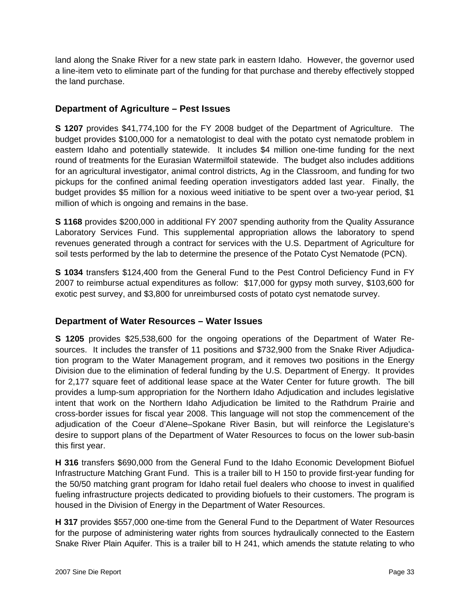land along the Snake River for a new state park in eastern Idaho. However, the governor used a line-item veto to eliminate part of the funding for that purchase and thereby effectively stopped the land purchase.

### **Department of Agriculture – Pest Issues**

**S 1207** provides \$41,774,100 for the FY 2008 budget of the Department of Agriculture. The budget provides \$100,000 for a nematologist to deal with the potato cyst nematode problem in eastern Idaho and potentially statewide. It includes \$4 million one-time funding for the next round of treatments for the Eurasian Watermilfoil statewide. The budget also includes additions for an agricultural investigator, animal control districts, Ag in the Classroom, and funding for two pickups for the confined animal feeding operation investigators added last year. Finally, the budget provides \$5 million for a noxious weed initiative to be spent over a two-year period, \$1 million of which is ongoing and remains in the base.

**S 1168** provides \$200,000 in additional FY 2007 spending authority from the Quality Assurance Laboratory Services Fund. This supplemental appropriation allows the laboratory to spend revenues generated through a contract for services with the U.S. Department of Agriculture for soil tests performed by the lab to determine the presence of the Potato Cyst Nematode (PCN).

**S 1034** transfers \$124,400 from the General Fund to the Pest Control Deficiency Fund in FY 2007 to reimburse actual expenditures as follow: \$17,000 for gypsy moth survey, \$103,600 for exotic pest survey, and \$3,800 for unreimbursed costs of potato cyst nematode survey.

### **Department of Water Resources – Water Issues**

**S 1205** provides \$25,538,600 for the ongoing operations of the Department of Water Resources. It includes the transfer of 11 positions and \$732,900 from the Snake River Adjudication program to the Water Management program, and it removes two positions in the Energy Division due to the elimination of federal funding by the U.S. Department of Energy. It provides for 2,177 square feet of additional lease space at the Water Center for future growth. The bill provides a lump-sum appropriation for the Northern Idaho Adjudication and includes legislative intent that work on the Northern Idaho Adjudication be limited to the Rathdrum Prairie and cross-border issues for fiscal year 2008. This language will not stop the commencement of the adjudication of the Coeur d'Alene–Spokane River Basin, but will reinforce the Legislature's desire to support plans of the Department of Water Resources to focus on the lower sub-basin this first year.

**H 316** transfers \$690,000 from the General Fund to the Idaho Economic Development Biofuel Infrastructure Matching Grant Fund. This is a trailer bill to H 150 to provide first-year funding for the 50/50 matching grant program for Idaho retail fuel dealers who choose to invest in qualified fueling infrastructure projects dedicated to providing biofuels to their customers. The program is housed in the Division of Energy in the Department of Water Resources.

**H 317** provides \$557,000 one-time from the General Fund to the Department of Water Resources for the purpose of administering water rights from sources hydraulically connected to the Eastern Snake River Plain Aquifer. This is a trailer bill to H 241, which amends the statute relating to who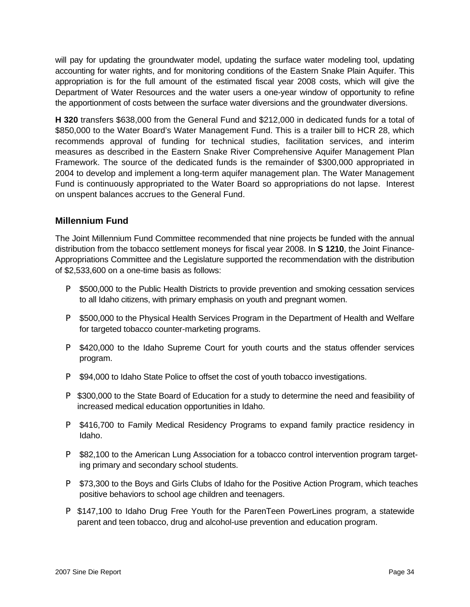will pay for updating the groundwater model, updating the surface water modeling tool, updating accounting for water rights, and for monitoring conditions of the Eastern Snake Plain Aquifer. This appropriation is for the full amount of the estimated fiscal year 2008 costs, which will give the Department of Water Resources and the water users a one-year window of opportunity to refine the apportionment of costs between the surface water diversions and the groundwater diversions.

**H 320** transfers \$638,000 from the General Fund and \$212,000 in dedicated funds for a total of \$850,000 to the Water Board's Water Management Fund. This is a trailer bill to HCR 28, which recommends approval of funding for technical studies, facilitation services, and interim measures as described in the Eastern Snake River Comprehensive Aquifer Management Plan Framework. The source of the dedicated funds is the remainder of \$300,000 appropriated in 2004 to develop and implement a long-term aquifer management plan. The Water Management Fund is continuously appropriated to the Water Board so appropriations do not lapse. Interest on unspent balances accrues to the General Fund.

### **Millennium Fund**

The Joint Millennium Fund Committee recommended that nine projects be funded with the annual distribution from the tobacco settlement moneys for fiscal year 2008. In **S 1210**, the Joint Finance-Appropriations Committee and the Legislature supported the recommendation with the distribution of \$2,533,600 on a one-time basis as follows:

- **P** \$500,000 to the Public Health Districts to provide prevention and smoking cessation services to all Idaho citizens, with primary emphasis on youth and pregnant women.
- **P** \$500,000 to the Physical Health Services Program in the Department of Health and Welfare for targeted tobacco counter-marketing programs.
- **P** \$420,000 to the Idaho Supreme Court for youth courts and the status offender services program.
- **P** \$94,000 to Idaho State Police to offset the cost of youth tobacco investigations.
- **P** \$300,000 to the State Board of Education for a study to determine the need and feasibility of increased medical education opportunities in Idaho.
- **P** \$416,700 to Family Medical Residency Programs to expand family practice residency in Idaho.
- **P** \$82,100 to the American Lung Association for a tobacco control intervention program targeting primary and secondary school students.
- **P** \$73,300 to the Boys and Girls Clubs of Idaho for the Positive Action Program, which teaches positive behaviors to school age children and teenagers.
- **P** \$147,100 to Idaho Drug Free Youth for the ParenTeen PowerLines program, a statewide parent and teen tobacco, drug and alcohol-use prevention and education program.